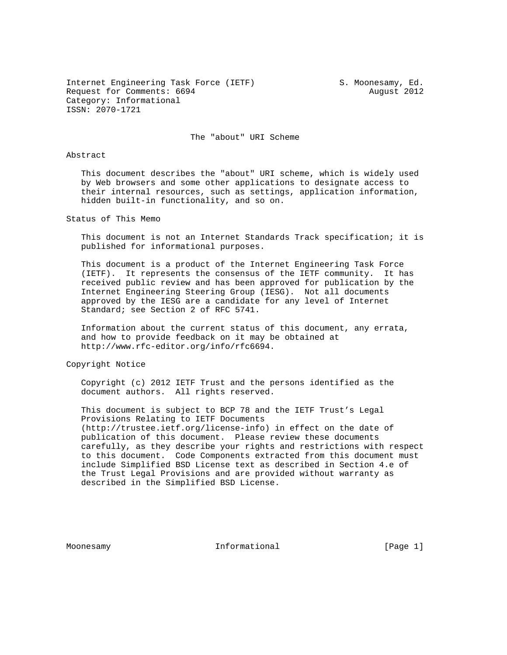Internet Engineering Task Force (IETF) S. Moonesamy, Ed. Request for Comments: 6694 August 2012 Category: Informational ISSN: 2070-1721

The "about" URI Scheme

## Abstract

 This document describes the "about" URI scheme, which is widely used by Web browsers and some other applications to designate access to their internal resources, such as settings, application information, hidden built-in functionality, and so on.

Status of This Memo

 This document is not an Internet Standards Track specification; it is published for informational purposes.

 This document is a product of the Internet Engineering Task Force (IETF). It represents the consensus of the IETF community. It has received public review and has been approved for publication by the Internet Engineering Steering Group (IESG). Not all documents approved by the IESG are a candidate for any level of Internet Standard; see Section 2 of RFC 5741.

 Information about the current status of this document, any errata, and how to provide feedback on it may be obtained at http://www.rfc-editor.org/info/rfc6694.

Copyright Notice

 Copyright (c) 2012 IETF Trust and the persons identified as the document authors. All rights reserved.

 This document is subject to BCP 78 and the IETF Trust's Legal Provisions Relating to IETF Documents (http://trustee.ietf.org/license-info) in effect on the date of publication of this document. Please review these documents carefully, as they describe your rights and restrictions with respect to this document. Code Components extracted from this document must include Simplified BSD License text as described in Section 4.e of the Trust Legal Provisions and are provided without warranty as described in the Simplified BSD License.

Moonesamy **Informational Informational** [Page 1]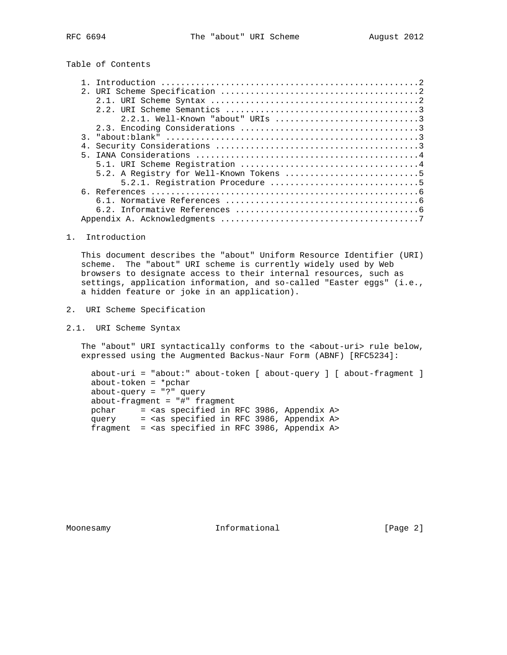Table of Contents

1. Introduction

 This document describes the "about" Uniform Resource Identifier (URI) scheme. The "about" URI scheme is currently widely used by Web browsers to designate access to their internal resources, such as settings, application information, and so-called "Easter eggs" (i.e., a hidden feature or joke in an application).

- 2. URI Scheme Specification
- 2.1. URI Scheme Syntax

The "about" URI syntactically conforms to the <about-uri> rule below, expressed using the Augmented Backus-Naur Form (ABNF) [RFC5234]:

 about-uri = "about:" about-token [ about-query ] [ about-fragment ] about-token = \*pchar about-query = "?" query about-fragment = "#" fragment pchar = <as specified in RFC 3986, Appendix A> query = <as specified in RFC 3986, Appendix A> fragment = <as specified in RFC 3986, Appendix A>

Moonesamy **Informational Informational** [Page 2]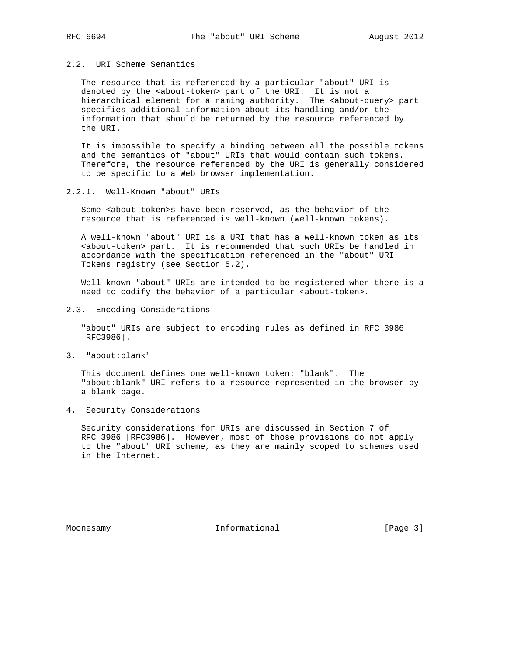## 2.2. URI Scheme Semantics

 The resource that is referenced by a particular "about" URI is denoted by the <about-token> part of the URI. It is not a hierarchical element for a naming authority. The <about-query> part specifies additional information about its handling and/or the information that should be returned by the resource referenced by the URI.

 It is impossible to specify a binding between all the possible tokens and the semantics of "about" URIs that would contain such tokens. Therefore, the resource referenced by the URI is generally considered to be specific to a Web browser implementation.

2.2.1. Well-Known "about" URIs

 Some <about-token>s have been reserved, as the behavior of the resource that is referenced is well-known (well-known tokens).

 A well-known "about" URI is a URI that has a well-known token as its <about-token> part. It is recommended that such URIs be handled in accordance with the specification referenced in the "about" URI Tokens registry (see Section 5.2).

 Well-known "about" URIs are intended to be registered when there is a need to codify the behavior of a particular <about-token>.

2.3. Encoding Considerations

 "about" URIs are subject to encoding rules as defined in RFC 3986 [RFC3986].

3. "about:blank"

 This document defines one well-known token: "blank". The "about:blank" URI refers to a resource represented in the browser by a blank page.

4. Security Considerations

 Security considerations for URIs are discussed in Section 7 of RFC 3986 [RFC3986]. However, most of those provisions do not apply to the "about" URI scheme, as they are mainly scoped to schemes used in the Internet.

Moonesamy **Informational Informational** [Page 3]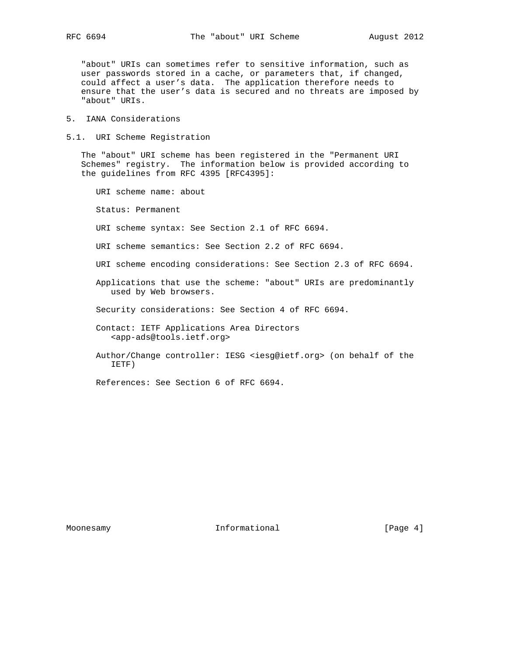"about" URIs can sometimes refer to sensitive information, such as user passwords stored in a cache, or parameters that, if changed, could affect a user's data. The application therefore needs to ensure that the user's data is secured and no threats are imposed by "about" URIs.

- 5. IANA Considerations
- 5.1. URI Scheme Registration

 The "about" URI scheme has been registered in the "Permanent URI Schemes" registry. The information below is provided according to the guidelines from RFC 4395 [RFC4395]:

URI scheme name: about

Status: Permanent

URI scheme syntax: See Section 2.1 of RFC 6694.

- URI scheme semantics: See Section 2.2 of RFC 6694.
- URI scheme encoding considerations: See Section 2.3 of RFC 6694.
- Applications that use the scheme: "about" URIs are predominantly used by Web browsers.
- Security considerations: See Section 4 of RFC 6694.
- Contact: IETF Applications Area Directors <app-ads@tools.ietf.org>
- Author/Change controller: IESG <iesg@ietf.org> (on behalf of the IETF)
- References: See Section 6 of RFC 6694.

Moonesamy **Informational Informational** [Page 4]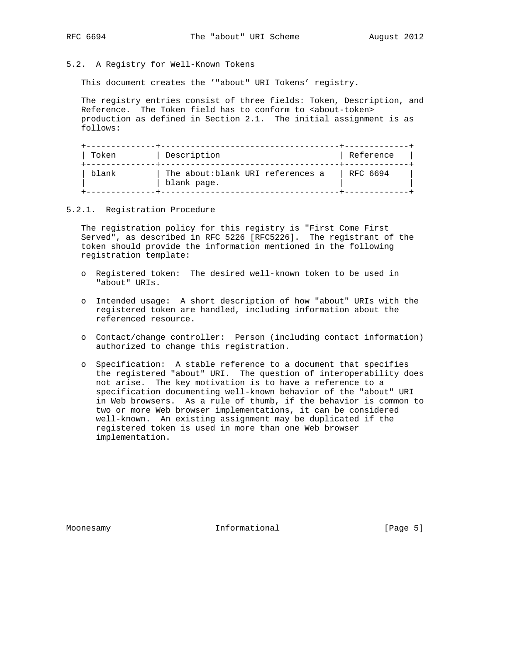5.2. A Registry for Well-Known Tokens

This document creates the '"about" URI Tokens' registry.

 The registry entries consist of three fields: Token, Description, and Reference. The Token field has to conform to <about-token> production as defined in Section 2.1. The initial assignment is as follows:

| Token | Description                                      | Reference |
|-------|--------------------------------------------------|-----------|
| blank | The about: blank URI references a<br>blank page. | RFC 6694  |

## 5.2.1. Registration Procedure

 The registration policy for this registry is "First Come First Served", as described in RFC 5226 [RFC5226]. The registrant of the token should provide the information mentioned in the following registration template:

- o Registered token: The desired well-known token to be used in "about" URIs.
- o Intended usage: A short description of how "about" URIs with the registered token are handled, including information about the referenced resource.
- o Contact/change controller: Person (including contact information) authorized to change this registration.
- o Specification: A stable reference to a document that specifies the registered "about" URI. The question of interoperability does not arise. The key motivation is to have a reference to a specification documenting well-known behavior of the "about" URI in Web browsers. As a rule of thumb, if the behavior is common to two or more Web browser implementations, it can be considered well-known. An existing assignment may be duplicated if the registered token is used in more than one Web browser implementation.

Moonesamy **Informational Informational** [Page 5]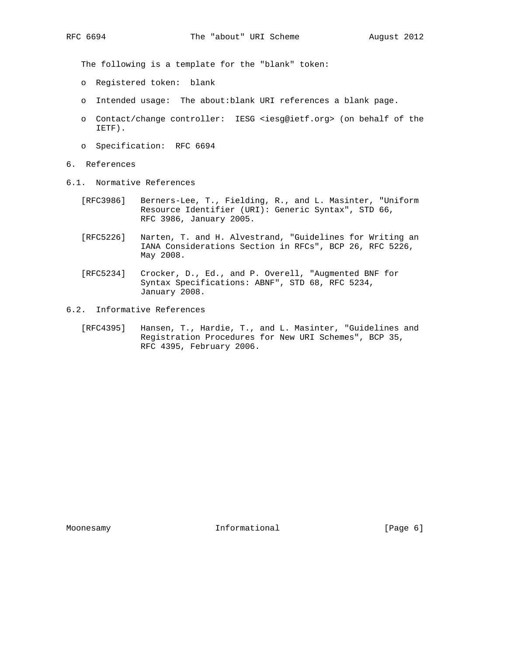The following is a template for the "blank" token:

- o Registered token: blank
- o Intended usage: The about:blank URI references a blank page.
- o Contact/change controller: IESG <iesg@ietf.org> (on behalf of the IETF).
- o Specification: RFC 6694
- 6. References
- 6.1. Normative References
	- [RFC3986] Berners-Lee, T., Fielding, R., and L. Masinter, "Uniform Resource Identifier (URI): Generic Syntax", STD 66, RFC 3986, January 2005.
	- [RFC5226] Narten, T. and H. Alvestrand, "Guidelines for Writing an IANA Considerations Section in RFCs", BCP 26, RFC 5226, May 2008.
	- [RFC5234] Crocker, D., Ed., and P. Overell, "Augmented BNF for Syntax Specifications: ABNF", STD 68, RFC 5234, January 2008.
- 6.2. Informative References
	- [RFC4395] Hansen, T., Hardie, T., and L. Masinter, "Guidelines and Registration Procedures for New URI Schemes", BCP 35, RFC 4395, February 2006.

Moonesamy **Informational Informational** [Page 6]